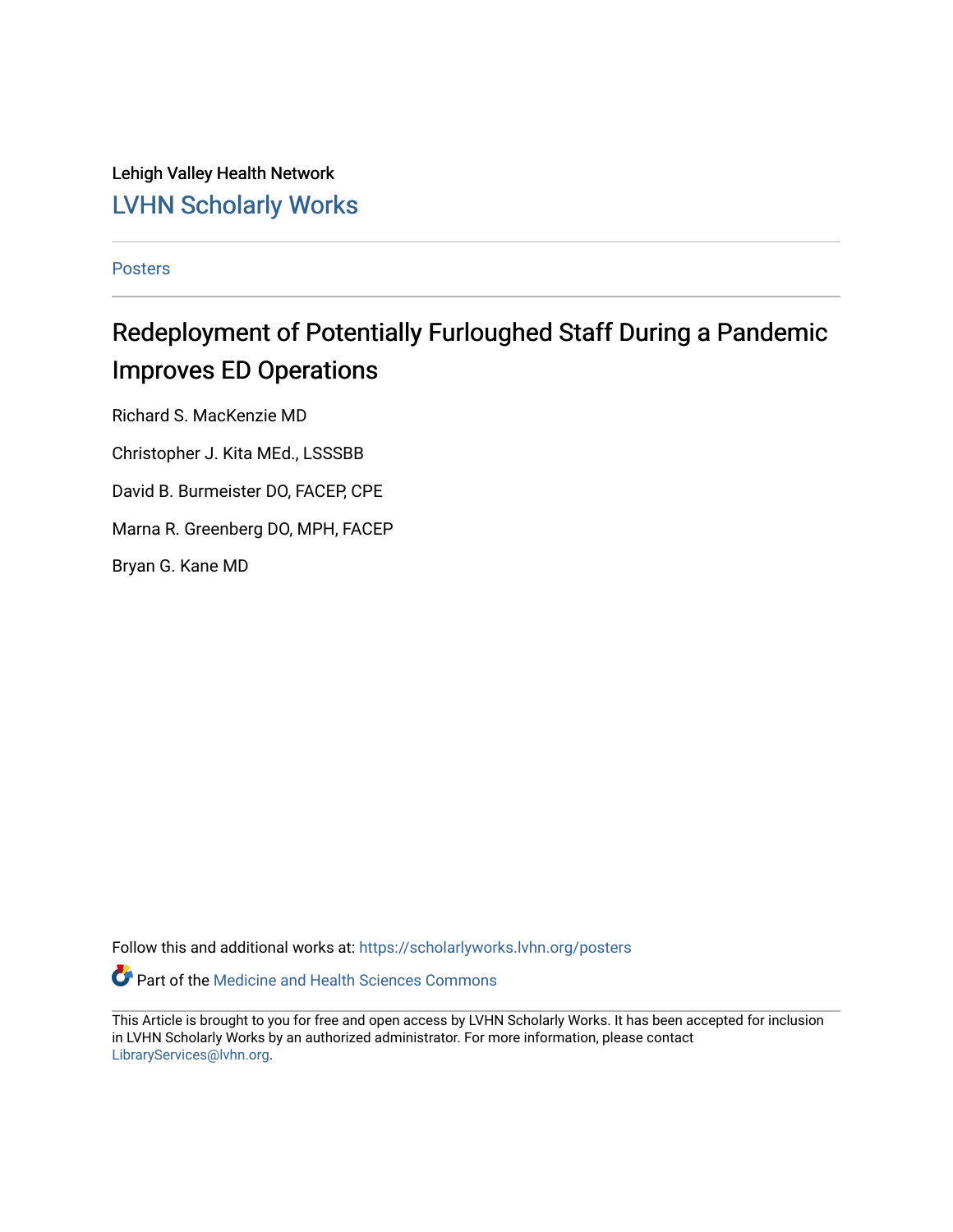Lehigh Valley Health Network [LVHN Scholarly Works](https://scholarlyworks.lvhn.org/)

[Posters](https://scholarlyworks.lvhn.org/posters) 

#### Redeployment of Potentially Furloughed Staff During a Pandemic Improves ED Operations

Richard S. MacKenzie MD

Christopher J. Kita MEd., LSSSBB

David B. Burmeister DO, FACEP, CPE

Marna R. Greenberg DO, MPH, FACEP

Bryan G. Kane MD

Follow this and additional works at: [https://scholarlyworks.lvhn.org/posters](https://scholarlyworks.lvhn.org/posters?utm_source=scholarlyworks.lvhn.org%2Fposters%2F26&utm_medium=PDF&utm_campaign=PDFCoverPages) 

Part of the [Medicine and Health Sciences Commons](http://network.bepress.com/hgg/discipline/648?utm_source=scholarlyworks.lvhn.org%2Fposters%2F26&utm_medium=PDF&utm_campaign=PDFCoverPages) 

This Article is brought to you for free and open access by LVHN Scholarly Works. It has been accepted for inclusion in LVHN Scholarly Works by an authorized administrator. For more information, please contact [LibraryServices@lvhn.org](mailto:LibraryServices@lvhn.org).